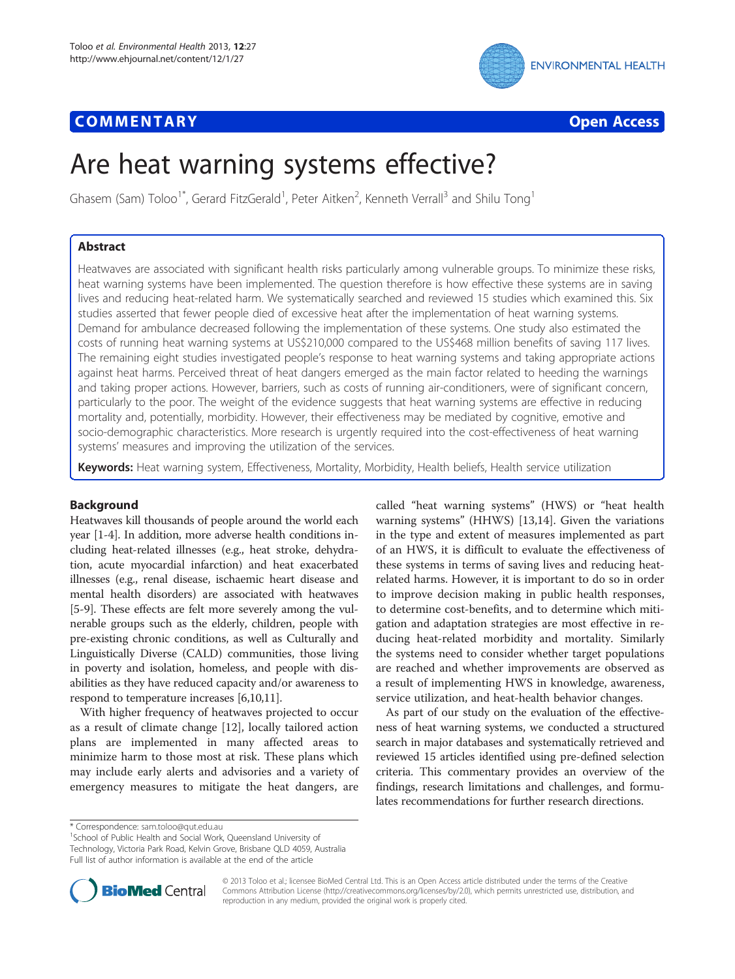## **COMMENTARY COMMENTARY Open Access**



# Are heat warning systems effective?

Ghasem (Sam) Toloo<sup>1\*</sup>, Gerard FitzGerald<sup>1</sup>, Peter Aitken<sup>2</sup>, Kenneth Verrall<sup>3</sup> and Shilu Tong<sup>1</sup>

## Abstract

Heatwaves are associated with significant health risks particularly among vulnerable groups. To minimize these risks, heat warning systems have been implemented. The question therefore is how effective these systems are in saving lives and reducing heat-related harm. We systematically searched and reviewed 15 studies which examined this. Six studies asserted that fewer people died of excessive heat after the implementation of heat warning systems. Demand for ambulance decreased following the implementation of these systems. One study also estimated the costs of running heat warning systems at US\$210,000 compared to the US\$468 million benefits of saving 117 lives. The remaining eight studies investigated people's response to heat warning systems and taking appropriate actions against heat harms. Perceived threat of heat dangers emerged as the main factor related to heeding the warnings and taking proper actions. However, barriers, such as costs of running air-conditioners, were of significant concern, particularly to the poor. The weight of the evidence suggests that heat warning systems are effective in reducing mortality and, potentially, morbidity. However, their effectiveness may be mediated by cognitive, emotive and socio-demographic characteristics. More research is urgently required into the cost-effectiveness of heat warning systems' measures and improving the utilization of the services.

Keywords: Heat warning system, Effectiveness, Mortality, Morbidity, Health beliefs, Health service utilization

## Background

Heatwaves kill thousands of people around the world each year [\[1](#page-2-0)-[4](#page-3-0)]. In addition, more adverse health conditions including heat-related illnesses (e.g., heat stroke, dehydration, acute myocardial infarction) and heat exacerbated illnesses (e.g., renal disease, ischaemic heart disease and mental health disorders) are associated with heatwaves [[5-9\]](#page-3-0). These effects are felt more severely among the vulnerable groups such as the elderly, children, people with pre-existing chronic conditions, as well as Culturally and Linguistically Diverse (CALD) communities, those living in poverty and isolation, homeless, and people with disabilities as they have reduced capacity and/or awareness to respond to temperature increases [\[6,10,11\]](#page-3-0).

With higher frequency of heatwaves projected to occur as a result of climate change [[12\]](#page-3-0), locally tailored action plans are implemented in many affected areas to minimize harm to those most at risk. These plans which may include early alerts and advisories and a variety of emergency measures to mitigate the heat dangers, are called "heat warning systems" (HWS) or "heat health warning systems" (HHWS) [[13](#page-3-0),[14](#page-3-0)]. Given the variations in the type and extent of measures implemented as part of an HWS, it is difficult to evaluate the effectiveness of these systems in terms of saving lives and reducing heatrelated harms. However, it is important to do so in order to improve decision making in public health responses, to determine cost-benefits, and to determine which mitigation and adaptation strategies are most effective in reducing heat-related morbidity and mortality. Similarly the systems need to consider whether target populations are reached and whether improvements are observed as a result of implementing HWS in knowledge, awareness, service utilization, and heat-health behavior changes.

As part of our study on the evaluation of the effectiveness of heat warning systems, we conducted a structured search in major databases and systematically retrieved and reviewed 15 articles identified using pre-defined selection criteria. This commentary provides an overview of the findings, research limitations and challenges, and formulates recommendations for further research directions.

<sup>1</sup>School of Public Health and Social Work, Queensland University of

Technology, Victoria Park Road, Kelvin Grove, Brisbane QLD 4059, Australia Full list of author information is available at the end of the article



© 2013 Toloo et al.; licensee BioMed Central Ltd. This is an Open Access article distributed under the terms of the Creative Commons Attribution License [\(http://creativecommons.org/licenses/by/2.0\)](http://creativecommons.org/licenses/by/2.0), which permits unrestricted use, distribution, and reproduction in any medium, provided the original work is properly cited.

<sup>\*</sup> Correspondence: [sam.toloo@qut.edu.au](mailto:sam.toloo@qut.edu.au) <sup>1</sup>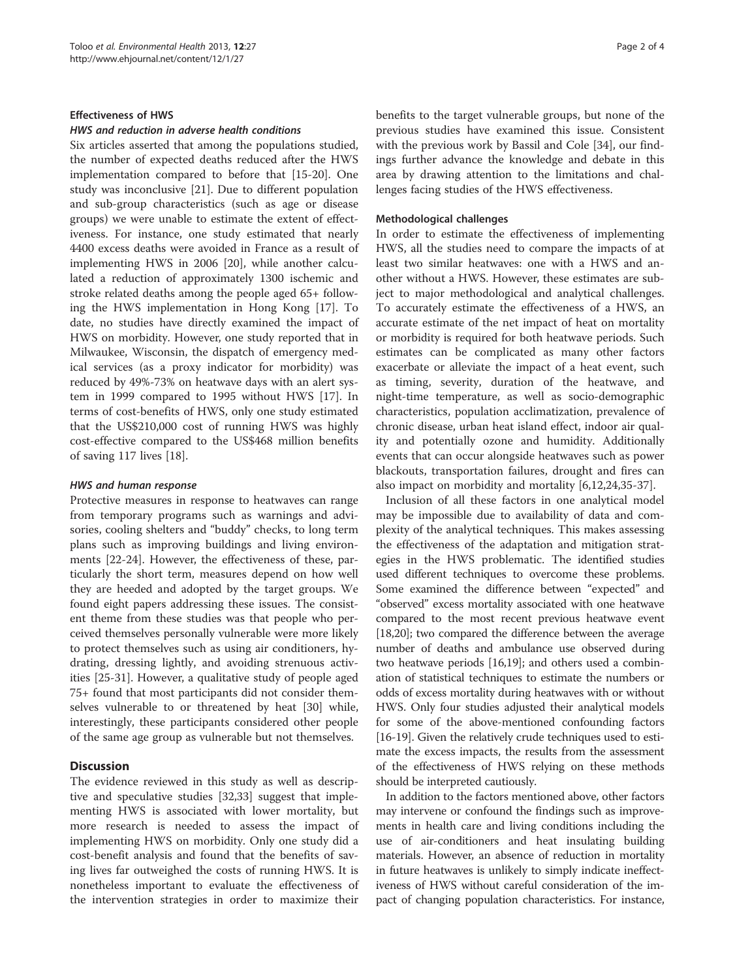## Effectiveness of HWS

#### HWS and reduction in adverse health conditions

Six articles asserted that among the populations studied, the number of expected deaths reduced after the HWS implementation compared to before that [[15-20\]](#page-3-0). One study was inconclusive [[21\]](#page-3-0). Due to different population and sub-group characteristics (such as age or disease groups) we were unable to estimate the extent of effectiveness. For instance, one study estimated that nearly 4400 excess deaths were avoided in France as a result of implementing HWS in 2006 [\[20](#page-3-0)], while another calculated a reduction of approximately 1300 ischemic and stroke related deaths among the people aged 65+ following the HWS implementation in Hong Kong [[17\]](#page-3-0). To date, no studies have directly examined the impact of HWS on morbidity. However, one study reported that in Milwaukee, Wisconsin, the dispatch of emergency medical services (as a proxy indicator for morbidity) was reduced by 49%-73% on heatwave days with an alert system in 1999 compared to 1995 without HWS [\[17\]](#page-3-0). In terms of cost-benefits of HWS, only one study estimated that the US\$210,000 cost of running HWS was highly cost-effective compared to the US\$468 million benefits of saving 117 lives [\[18](#page-3-0)].

## HWS and human response

Protective measures in response to heatwaves can range from temporary programs such as warnings and advisories, cooling shelters and "buddy" checks, to long term plans such as improving buildings and living environments [[22-24](#page-3-0)]. However, the effectiveness of these, particularly the short term, measures depend on how well they are heeded and adopted by the target groups. We found eight papers addressing these issues. The consistent theme from these studies was that people who perceived themselves personally vulnerable were more likely to protect themselves such as using air conditioners, hydrating, dressing lightly, and avoiding strenuous activities [[25](#page-3-0)-[31\]](#page-3-0). However, a qualitative study of people aged 75+ found that most participants did not consider themselves vulnerable to or threatened by heat [[30](#page-3-0)] while, interestingly, these participants considered other people of the same age group as vulnerable but not themselves.

## **Discussion**

The evidence reviewed in this study as well as descriptive and speculative studies [\[32,33\]](#page-3-0) suggest that implementing HWS is associated with lower mortality, but more research is needed to assess the impact of implementing HWS on morbidity. Only one study did a cost-benefit analysis and found that the benefits of saving lives far outweighed the costs of running HWS. It is nonetheless important to evaluate the effectiveness of the intervention strategies in order to maximize their benefits to the target vulnerable groups, but none of the previous studies have examined this issue. Consistent with the previous work by Bassil and Cole [[34\]](#page-3-0), our findings further advance the knowledge and debate in this area by drawing attention to the limitations and challenges facing studies of the HWS effectiveness.

#### Methodological challenges

In order to estimate the effectiveness of implementing HWS, all the studies need to compare the impacts of at least two similar heatwaves: one with a HWS and another without a HWS. However, these estimates are subject to major methodological and analytical challenges. To accurately estimate the effectiveness of a HWS, an accurate estimate of the net impact of heat on mortality or morbidity is required for both heatwave periods. Such estimates can be complicated as many other factors exacerbate or alleviate the impact of a heat event, such as timing, severity, duration of the heatwave, and night-time temperature, as well as socio-demographic characteristics, population acclimatization, prevalence of chronic disease, urban heat island effect, indoor air quality and potentially ozone and humidity. Additionally events that can occur alongside heatwaves such as power blackouts, transportation failures, drought and fires can also impact on morbidity and mortality [\[6,12,24,35-37](#page-3-0)].

Inclusion of all these factors in one analytical model may be impossible due to availability of data and complexity of the analytical techniques. This makes assessing the effectiveness of the adaptation and mitigation strategies in the HWS problematic. The identified studies used different techniques to overcome these problems. Some examined the difference between "expected" and "observed" excess mortality associated with one heatwave compared to the most recent previous heatwave event [[18,20](#page-3-0)]; two compared the difference between the average number of deaths and ambulance use observed during two heatwave periods [[16](#page-3-0),[19](#page-3-0)]; and others used a combination of statistical techniques to estimate the numbers or odds of excess mortality during heatwaves with or without HWS. Only four studies adjusted their analytical models for some of the above-mentioned confounding factors [[16](#page-3-0)-[19\]](#page-3-0). Given the relatively crude techniques used to estimate the excess impacts, the results from the assessment of the effectiveness of HWS relying on these methods should be interpreted cautiously.

In addition to the factors mentioned above, other factors may intervene or confound the findings such as improvements in health care and living conditions including the use of air-conditioners and heat insulating building materials. However, an absence of reduction in mortality in future heatwaves is unlikely to simply indicate ineffectiveness of HWS without careful consideration of the impact of changing population characteristics. For instance,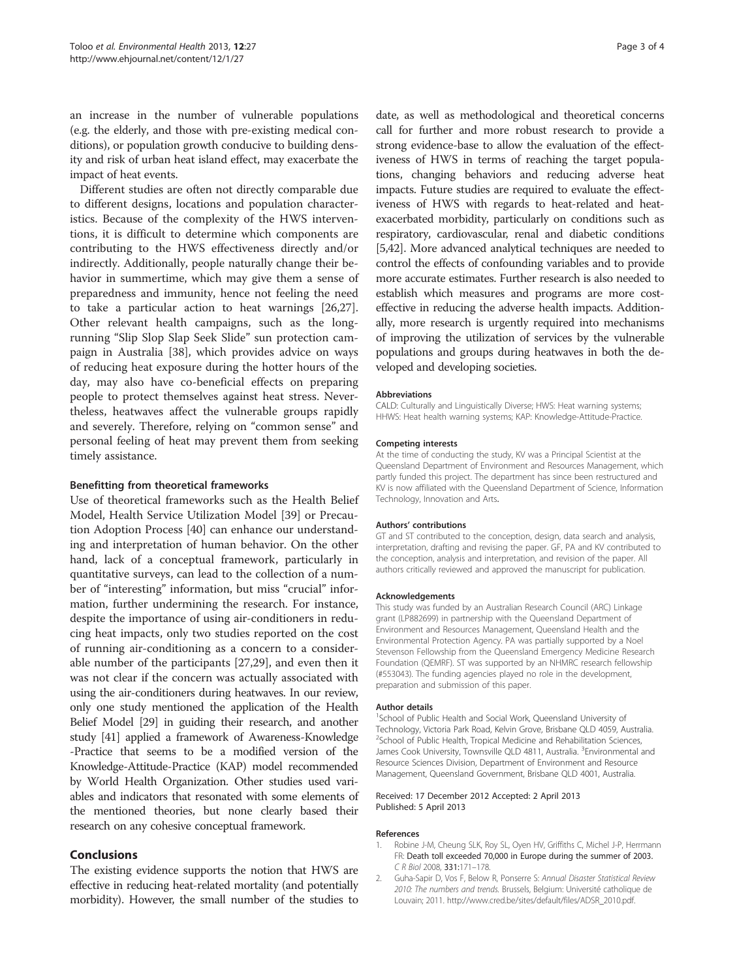<span id="page-2-0"></span>an increase in the number of vulnerable populations (e.g. the elderly, and those with pre-existing medical conditions), or population growth conducive to building density and risk of urban heat island effect, may exacerbate the impact of heat events.

Different studies are often not directly comparable due to different designs, locations and population characteristics. Because of the complexity of the HWS interventions, it is difficult to determine which components are contributing to the HWS effectiveness directly and/or indirectly. Additionally, people naturally change their behavior in summertime, which may give them a sense of preparedness and immunity, hence not feeling the need to take a particular action to heat warnings [\[26,27](#page-3-0)]. Other relevant health campaigns, such as the longrunning "Slip Slop Slap Seek Slide" sun protection campaign in Australia [[38\]](#page-3-0), which provides advice on ways of reducing heat exposure during the hotter hours of the day, may also have co-beneficial effects on preparing people to protect themselves against heat stress. Nevertheless, heatwaves affect the vulnerable groups rapidly and severely. Therefore, relying on "common sense" and personal feeling of heat may prevent them from seeking timely assistance.

## Benefitting from theoretical frameworks

Use of theoretical frameworks such as the Health Belief Model, Health Service Utilization Model [[39\]](#page-3-0) or Precaution Adoption Process [\[40](#page-3-0)] can enhance our understanding and interpretation of human behavior. On the other hand, lack of a conceptual framework, particularly in quantitative surveys, can lead to the collection of a number of "interesting" information, but miss "crucial" information, further undermining the research. For instance, despite the importance of using air-conditioners in reducing heat impacts, only two studies reported on the cost of running air-conditioning as a concern to a considerable number of the participants [\[27,29\]](#page-3-0), and even then it was not clear if the concern was actually associated with using the air-conditioners during heatwaves. In our review, only one study mentioned the application of the Health Belief Model [\[29](#page-3-0)] in guiding their research, and another study [\[41](#page-3-0)] applied a framework of Awareness-Knowledge -Practice that seems to be a modified version of the Knowledge-Attitude-Practice (KAP) model recommended by World Health Organization. Other studies used variables and indicators that resonated with some elements of the mentioned theories, but none clearly based their research on any cohesive conceptual framework.

## Conclusions

The existing evidence supports the notion that HWS are effective in reducing heat-related mortality (and potentially morbidity). However, the small number of the studies to

date, as well as methodological and theoretical concerns call for further and more robust research to provide a strong evidence-base to allow the evaluation of the effectiveness of HWS in terms of reaching the target populations, changing behaviors and reducing adverse heat impacts. Future studies are required to evaluate the effectiveness of HWS with regards to heat-related and heatexacerbated morbidity, particularly on conditions such as respiratory, cardiovascular, renal and diabetic conditions [[5,42](#page-3-0)]. More advanced analytical techniques are needed to control the effects of confounding variables and to provide more accurate estimates. Further research is also needed to establish which measures and programs are more costeffective in reducing the adverse health impacts. Additionally, more research is urgently required into mechanisms of improving the utilization of services by the vulnerable populations and groups during heatwaves in both the developed and developing societies.

#### Abbreviations

CALD: Culturally and Linguistically Diverse; HWS: Heat warning systems; HHWS: Heat health warning systems; KAP: Knowledge-Attitude-Practice.

#### Competing interests

At the time of conducting the study, KV was a Principal Scientist at the Queensland Department of Environment and Resources Management, which partly funded this project. The department has since been restructured and KV is now affiliated with the Queensland Department of Science, Information Technology, Innovation and Arts.

#### Authors' contributions

GT and ST contributed to the conception, design, data search and analysis, interpretation, drafting and revising the paper. GF, PA and KV contributed to the conception, analysis and interpretation, and revision of the paper. All authors critically reviewed and approved the manuscript for publication.

#### Acknowledgements

This study was funded by an Australian Research Council (ARC) Linkage grant (LP882699) in partnership with the Queensland Department of Environment and Resources Management, Queensland Health and the Environmental Protection Agency. PA was partially supported by a Noel Stevenson Fellowship from the Queensland Emergency Medicine Research Foundation (QEMRF). ST was supported by an NHMRC research fellowship (#553043). The funding agencies played no role in the development, preparation and submission of this paper.

#### Author details

<sup>1</sup>School of Public Health and Social Work, Queensland University of Technology, Victoria Park Road, Kelvin Grove, Brisbane QLD 4059, Australia. <sup>2</sup>School of Public Health, Tropical Medicine and Rehabilitation Sciences, James Cook University, Townsville QLD 4811, Australia. <sup>3</sup>Environmental and Resource Sciences Division, Department of Environment and Resource Management, Queensland Government, Brisbane QLD 4001, Australia.

#### Received: 17 December 2012 Accepted: 2 April 2013 Published: 5 April 2013

#### References

- 1. Robine J-M, Cheung SLK, Roy SL, Oyen HV, Griffiths C, Michel J-P, Herrmann FR: Death toll exceeded 70,000 in Europe during the summer of 2003. C R Biol 2008, 331:171–178.
- 2. Guha-Sapir D, Vos F, Below R, Ponserre S: Annual Disaster Statistical Review 2010: The numbers and trends. Brussels, Belgium: Université catholique de Louvain; 2011. [http://www.cred.be/sites/default/files/ADSR\\_2010.pdf.](http://www.cred.be/sites/default/files/ADSR_2010.pdf)